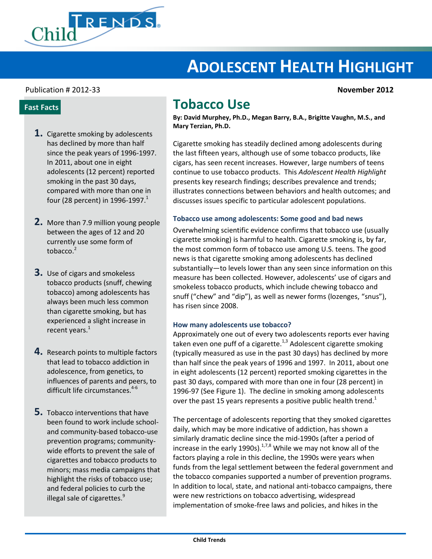

# **ADOLESCENT HEALTH HIGHLIGHT**

# Publication # 2012-33 **November 2012**

# **Fast Facts**

- **1.** Cigarette smoking by adolescents has declined by more than half since the peak years of 1996-1997. In 2011, about one in eight adolescents (12 percent) reported smoking in the past 30 days, compared with more than one in four (28 percent) in 1996-1997. $^1$
- **2.** More than 7.9 million young people between the ages of 12 and 20 currently use some form of tobacco.<sup>2</sup>
- **3.** Use of cigars and smokeless tobacco products (snuff, chewing tobacco) among adolescents has always been much less common than cigarette smoking, but has experienced a slight increase in recent years. $<sup>1</sup>$ </sup>
- **4.** Research points to multiple factors that lead to tobacco addiction in adolescence, from genetics, to influences of parents and peers, to difficult life circumstances. $4-6$
- **5.** Tobacco interventions that have been found to work include schooland community-based tobacco-use prevention programs; communitywide efforts to prevent the sale of cigarettes and tobacco products to minors; mass media campaigns that highlight the risks of tobacco use; and federal policies to curb the illegal sale of cigarettes.<sup>9</sup>

# **Tobacco Use**

**By: David Murphey, Ph.D., Megan Barry, B.A., Brigitte Vaughn, M.S., and Mary Terzian, Ph.D.**

Cigarette smoking has steadily declined among adolescents during the last fifteen years, although use of some tobacco products, like cigars, has seen recent increases. However, large numbers of teens continue to use tobacco products. This *Adolescent Health Highlight* presents key research findings; describes prevalence and trends; illustrates connections between behaviors and health outcomes; and discusses issues specific to particular adolescent populations.

#### **Tobacco use among adolescents: Some good and bad news**

Overwhelming scientific evidence confirms that tobacco use (usually cigarette smoking) is harmful to health. Cigarette smoking is, by far, the most common form of tobacco use among U.S. teens. The good news is that cigarette smoking among adolescents has declined substantially—to levels lower than any seen since information on this measure has been collected. However, adolescents' use of cigars and smokeless tobacco products, which include chewing tobacco and snuff ("chew" and "dip"), as well as newer forms (lozenges, "snus"), has risen since 2008.

#### **How many adolescents use tobacco?**

Approximately one out of every two adolescents reports ever having taken even one puff of a cigarette. $1,3$  Adolescent cigarette smoking (typically measured as use in the past 30 days) has declined by more than half since the peak years of 1996 and 1997. In 2011, about one in eight adolescents (12 percent) reported smoking cigarettes in the past 30 days, compared with more than one in four (28 percent) in 1996-97 (See Figure 1). The decline in smoking among adolescents over the past 15 years represents a positive public health trend.<sup>1</sup>

The percentage of adolescents reporting that they smoked cigarettes daily, which may be more indicative of addiction, has shown a similarly dramatic decline since the mid-1990s (after a period of increase in the early 1990s). $^{1,7,8}$  While we may not know all of the factors playing a role in this decline, the 1990s were years when funds from the legal settlement between the federal government and the tobacco companies supported a number of prevention programs. In addition to local, state, and national anti-tobacco campaigns, there were new restrictions on tobacco advertising, widespread implementation of smoke-free laws and policies, and hikes in the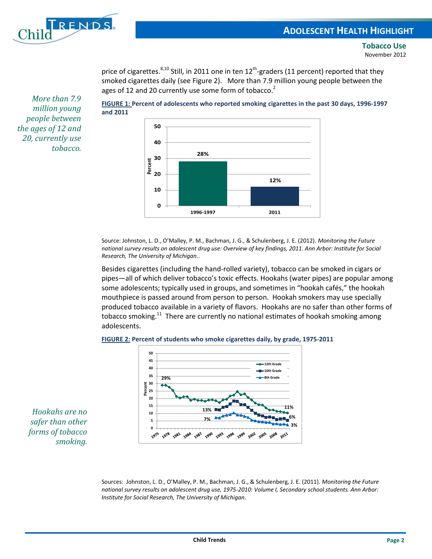

price of cigarettes.<sup>8,10</sup> Still, in 2011 one in ten 12<sup>th</sup>-graders (11 percent) reported that they smoked cigarettes daily (see Figure 2). More than 7.9 million young people between the ages of 12 and 20 currently use some form of tobacco. $2$ 

*More than 7.9 million young people between the ages of 12 and 20, currently use tobacco.*





Source: Johnston, L. D., O'Malley, P. M., Bachman, J. G., & Schulenberg, J. E. (2012). *Monitoring the Future national survey results on adolescent drug use: Overview of key findings, 2011. Ann Arbor: Institute for Social Research, The University of Michigan.*.

Besides cigarettes (including the hand-rolled variety), tobacco can be smoked in cigars or pipes—all of which deliver tobacco's toxic effects. Hookahs (water pipes) are popular among some adolescents; typically used in groups, and sometimes in "hookah cafés," the hookah mouthpiece is passed around from person to person. Hookah smokers may use specially produced tobacco available in a variety of flavors. Hookahs are no safer than other forms of tobacco smoking.<sup>11</sup> There are currently no national estimates of hookah smoking among adolescents.





*Hookahs are no safer than other forms of tobacco smoking.*

> Sources: Johnston, L. D., O'Malley, P. M., Bachman, J. G., & Schulenberg, J. E. (2011). *Monitoring the Future national survey results on adolescent drug use, 1975-2010: Volume I, Secondary school students. Ann Arbor: Institute for Social Research, The University of Michigan.*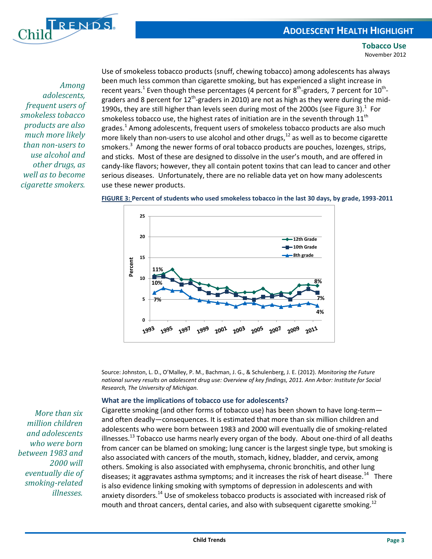

*Among adolescents, frequent users of smokeless tobacco products are also much more likely than non-users to use alcohol and other drugs, as well as to become cigarette smokers.*

Use of smokeless tobacco products (snuff, chewing tobacco) among adolescents has always been much less common than cigarette smoking, but has experienced a slight increase in recent years.<sup>1</sup> Even though these percentages (4 percent for 8<sup>th</sup>-graders, 7 percent for 10<sup>th</sup>graders and 8 percent for 12<sup>th</sup>-graders in 2010) are not as high as they were during the mid-1990s, they are still higher than levels seen during most of the 2000s (see Figure 3). $^1$  For smokeless tobacco use, the highest rates of initiation are in the seventh through  $11<sup>th</sup>$ grades.<sup>1</sup> Among adolescents, frequent users of smokeless tobacco products are also much more likely than non-users to use alcohol and other drugs, $12$  as well as to become cigarette smokers.<sup>3</sup> Among the newer forms of oral tobacco products are pouches, lozenges, strips, and sticks. Most of these are designed to dissolve in the user's mouth, and are offered in candy-like flavors; however, they all contain potent toxins that can lead to cancer and other serious diseases. Unfortunately, there are no reliable data yet on how many adolescents use these newer products.





Source: Johnston, L. D., O'Malley, P. M., Bachman, J. G., & Schulenberg, J. E. (2012). *Monitoring the Future national survey results on adolescent drug use: Overview of key findings, 2011. Ann Arbor: Institute for Social Research, The University of Michigan.*

# **What are the implications of tobacco use for adolescents?**

Cigarette smoking (and other forms of tobacco use) has been shown to have long-term and often deadly—consequences. It is estimated that more than six million children and adolescents who were born between 1983 and 2000 will eventually die of smoking-related illnesses.<sup>13</sup> Tobacco use harms nearly every organ of the body. About one-third of all deaths from cancer can be blamed on smoking; lung cancer is the largest single type, but smoking is also associated with cancers of the mouth, stomach, kidney, bladder, and cervix, among others. Smoking is also associated with emphysema, chronic bronchitis, and other lung diseases; it aggravates asthma symptoms; and it increases the risk of heart disease.<sup>14</sup> There is also evidence linking smoking with symptoms of depression in adolescents and with anxiety disorders.<sup>14</sup> Use of smokeless tobacco products is associated with increased risk of mouth and throat cancers, dental caries, and also with subsequent cigarette smoking.<sup>12</sup>

*More than six million children and adolescents who were born between 1983 and 2000 will eventually die of smoking-related illnesses.*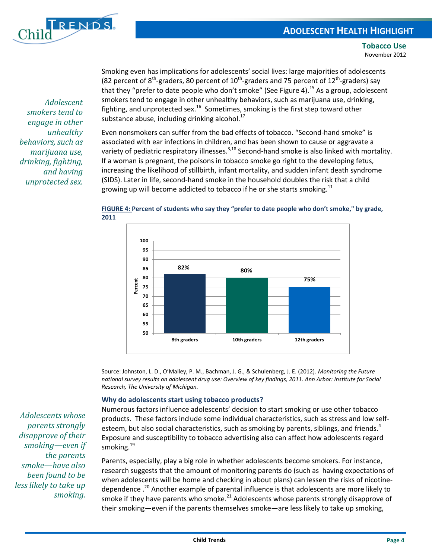

Smoking even has implications for adolescents' social lives: large majorities of adolescents (82 percent of 8<sup>th</sup>-graders, 80 percent of 10<sup>th</sup>-graders and 75 percent of 12<sup>th</sup>-graders) say that they "prefer to date people who don't smoke" (See Figure 4).<sup>15</sup> As a group, adolescent smokers tend to engage in other unhealthy behaviors, such as marijuana use, drinking, fighting, and unprotected sex.<sup>16</sup> Sometimes, smoking is the first step toward other substance abuse, including drinking alcohol. $^{17}$ 

Even nonsmokers can suffer from the bad effects of tobacco. "Second-hand smoke" is associated with ear infections in children, and has been shown to cause or aggravate a variety of pediatric respiratory illnesses.<sup>3,18</sup> Second-hand smoke is also linked with mortality. If a woman is pregnant, the poisons in tobacco smoke go right to the developing fetus, increasing the likelihood of stillbirth, infant mortality, and sudden infant death syndrome (SIDS). Later in life, second-hand smoke in the household doubles the risk that a child growing up will become addicted to tobacco if he or she starts smoking.<sup>11</sup>



# **FIGURE 4: Percent of students who say they "prefer to date people who don't smoke," by grade, 2011**

Source: Johnston, L. D., O'Malley, P. M., Bachman, J. G., & Schulenberg, J. E. (2012). *Monitoring the Future national survey results on adolescent drug use: Overview of key findings, 2011. Ann Arbor: Institute for Social Research, The University of Michigan.*

# **Why do adolescents start using tobacco products?**

Numerous factors influence adolescents' decision to start smoking or use other tobacco products. These factors include some individual characteristics, such as stress and low selfesteem, but also social characteristics, such as smoking by parents, siblings, and friends.<sup>4</sup> Exposure and susceptibility to tobacco advertising also can affect how adolescents regard smoking.<sup>19</sup>

Parents, especially, play a big role in whether adolescents become smokers. For instance, research suggests that the amount of monitoring parents do (such as having expectations of when adolescents will be home and checking in about plans) can lessen the risks of nicotinedependence .<sup>20</sup> Another example of parental influence is that adolescents are more likely to smoke if they have parents who smoke. $^{21}$  Adolescents whose parents strongly disapprove of their smoking—even if the parents themselves smoke—are less likely to take up smoking,

*Adolescent smokers tend to engage in other unhealthy behaviors, such as marijuana use, drinking, fighting, and having unprotected sex.*

*Adolescents whose parents strongly disapprove of their smoking—even if the parents smoke—have also been found to be less likely to take up smoking.*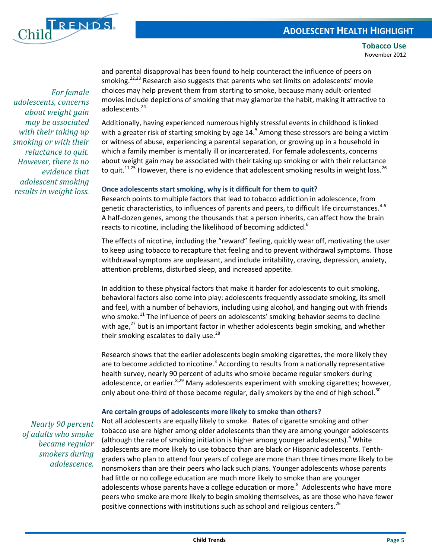

*For female adolescents, concerns about weight gain may be associated with their taking up smoking or with their reluctance to quit. However, there is no evidence that adolescent smoking results in weight loss.*

and parental disapproval has been found to help counteract the influence of peers on smoking.<sup>22,23</sup> Research also suggests that parents who set limits on adolescents' movie choices may help prevent them from starting to smoke, because many adult-oriented movies include depictions of smoking that may glamorize the habit, making it attractive to adolescents.<sup>24</sup>

Additionally, having experienced numerous highly stressful events in childhood is linked with a greater risk of starting smoking by age  $14.^5$  Among these stressors are being a victim or witness of abuse, experiencing a parental separation, or growing up in a household in which a family member is mentally ill or incarcerated. For female adolescents, concerns about weight gain may be associated with their taking up smoking or with their reluctance to quit.<sup>11,25</sup> However, there is no evidence that adolescent smoking results in weight loss.<sup>26</sup>

# **Once adolescents start smoking, why is it difficult for them to quit?**

Research points to multiple factors that lead to tobacco addiction in adolescence, from genetic characteristics, to influences of parents and peers, to difficult life circumstances.<sup>4-6</sup> A half-dozen genes, among the thousands that a person inherits, can affect how the brain reacts to nicotine, including the likelihood of becoming addicted.<sup>6</sup>

The effects of nicotine, including the "reward" feeling, quickly wear off, motivating the user to keep using tobacco to recapture that feeling and to prevent withdrawal symptoms. Those withdrawal symptoms are unpleasant, and include irritability, craving, depression, anxiety, attention problems, disturbed sleep, and increased appetite.

In addition to these physical factors that make it harder for adolescents to quit smoking, behavioral factors also come into play: adolescents frequently associate smoking, its smell and feel, with a number of behaviors, including using alcohol, and hanging out with friends who smoke.<sup>11</sup> The influence of peers on adolescents' smoking behavior seems to decline with age, $^{27}$  but is an important factor in whether adolescents begin smoking, and whether their smoking escalates to daily use.<sup>28</sup>

Research shows that the earlier adolescents begin smoking cigarettes, the more likely they are to become addicted to nicotine.<sup>3</sup> According to results from a nationally representative health survey, nearly 90 percent of adults who smoke became regular smokers during adolescence, or earlier. $8,29$  Many adolescents experiment with smoking cigarettes; however, only about one-third of those become regular, daily smokers by the end of high school.<sup>30</sup>

# **Are certain groups of adolescents more likely to smoke than others?**

*Nearly 90 percent of adults who smoke became regular smokers during adolescence.* 

Not all adolescents are equally likely to smoke. Rates of cigarette smoking and other tobacco use are higher among older adolescents than they are among younger adolescents (although the rate of smoking initiation is higher among younger adolescents).<sup>4</sup> White adolescents are more likely to use tobacco than are black or Hispanic adolescents. Tenthgraders who plan to attend four years of college are more than three times more likely to be nonsmokers than are their peers who lack such plans. Younger adolescents whose parents had little or no college education are much more likely to smoke than are younger adolescents whose parents have a college education or more.<sup>8</sup> Adolescents who have more peers who smoke are more likely to begin smoking themselves, as are those who have fewer positive connections with institutions such as school and religious centers.<sup>26</sup>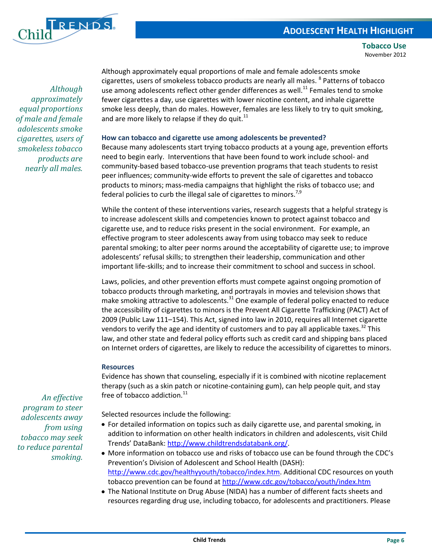# **ADOLESCENT HEALTH HIGHLIGHT**



**Tobacco Use** November 2012

*Although approximately equal proportions of male and female adolescents smoke cigarettes, users of smokeless tobacco products are nearly all males.*

Although approximately equal proportions of male and female adolescents smoke cigarettes, users of smokeless tobacco products are nearly all males. <sup>8</sup> Patterns of tobacco use among adolescents reflect other gender differences as well.<sup>11</sup> Females tend to smoke fewer cigarettes a day, use cigarettes with lower nicotine content, and inhale cigarette smoke less deeply, than do males. However, females are less likely to try to quit smoking, and are more likely to relapse if they do quit. $^{11}$ 

# **How can tobacco and cigarette use among adolescents be prevented?**

Because many adolescents start trying tobacco products at a young age, prevention efforts need to begin early. Interventions that have been found to work include school- and community-based based tobacco-use prevention programs that teach students to resist peer influences; community-wide efforts to prevent the sale of cigarettes and tobacco products to minors; mass-media campaigns that highlight the risks of tobacco use; and federal policies to curb the illegal sale of cigarettes to minors.<sup>7,9</sup>

While the content of these interventions varies, research suggests that a helpful strategy is to increase adolescent skills and competencies known to protect against tobacco and cigarette use, and to reduce risks present in the social environment. For example, an effective program to steer adolescents away from using tobacco may seek to reduce parental smoking; to alter peer norms around the acceptability of cigarette use; to improve adolescents' refusal skills; to strengthen their leadership, communication and other important life-skills; and to increase their commitment to school and success in school.

Laws, policies, and other prevention efforts must compete against ongoing promotion of tobacco products through marketing, and portrayals in movies and television shows that make smoking attractive to adolescents.<sup>31</sup> One example of federal policy enacted to reduce the accessibility of cigarettes to minors is the Prevent All Cigarette Trafficking (PACT) Act of 2009 (Public Law 111–154). This Act, signed into law in 2010, requires all Internet cigarette vendors to verify the age and identity of customers and to pay all applicable taxes.<sup>32</sup> This law, and other state and federal policy efforts such as credit card and shipping bans placed on Internet orders of cigarettes, are likely to reduce the accessibility of cigarettes to minors.

# **Resources**

Evidence has shown that counseling, especially if it is combined with nicotine replacement therapy (such as a skin patch or nicotine-containing gum), can help people quit, and stay free of tobacco addiction.<sup>11</sup>

Selected resources include the following:

- For detailed information on topics such as daily cigarette use, and parental smoking, in addition to information on other health indicators in children and adolescents, visit Child Trends' DataBank: [http://www.childtrendsdatabank.org/.](http://www.childtrendsdatabank.org/)
- More information on tobacco use and risks of tobacco use can be found through the CDC's Prevention's Division of Adolescent and School Health (DASH): [http://www.cdc.gov/healthyyouth/tobacco/index.htm.](http://www.cdc.gov/healthyyouth/tobacco/index.htm) Additional CDC resources on youth tobacco prevention can be found at <http://www.cdc.gov/tobacco/youth/index.htm>
- The National Institute on Drug Abuse (NIDA) has a number of different facts sheets and resources regarding drug use, including tobacco, for adolescents and practitioners. Please

*An effective program to steer adolescents away from using tobacco may seek to reduce parental smoking.*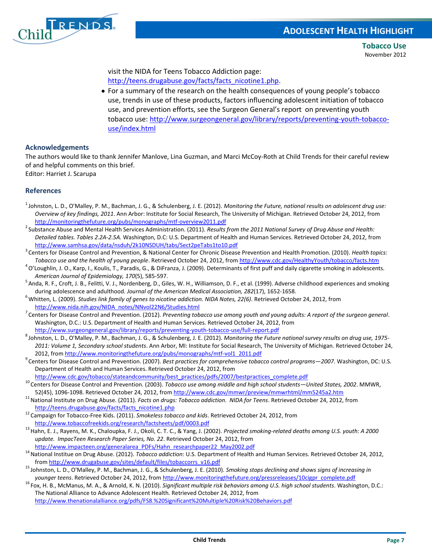

visit the NIDA for Teens Tobacco Addiction page: [http://teens.drugabuse.gov/facts/facts\\_nicotine1.php.](http://teens.drugabuse.gov/facts/facts_nicotine1.php)

For a summary of the research on the health consequences of young people's tobacco use, trends in use of these products, factors influencing adolescent initiation of tobacco use, and prevention efforts, see the Surgeon General's report on preventing youth tobacco use: [http://www.surgeongeneral.gov/library/reports/preventing-youth-tobacco](http://www.surgeongeneral.gov/library/reports/preventing-youth-tobacco-use/index.html)[use/index.html](http://www.surgeongeneral.gov/library/reports/preventing-youth-tobacco-use/index.html)

# **Acknowledgements**

The authors would like to thank Jennifer Manlove, Lina Guzman, and Marci McCoy-Roth at Child Trends for their careful review of and helpful comments on this brief.

Editor: Harriet J. Scarupa

# **References**

- <sup>1</sup>Johnston, L. D., O'Malley, P. M., Bachman, J. G., & Schulenberg, J. E. (2012). *Monitoring the Future, national results on adolescent drug use: Overview of key findings, 2011*. Ann Arbor: Institute for Social Research, The University of Michigan. Retrieved October 24, 2012, from <http://monitoringthefuture.org/pubs/monographs/mtf-overview2011.pdf>
- <sup>2</sup> Substance Abuse and Mental Health Services Administration. (2011). *Results from the 2011 National Survey of Drug Abuse and Health: Detailed tables. Tables 2.2A-2.5A.* Washington, D.C: U.S. Department of Health and Human Services. Retrieved October 24, 2012, from <http://www.samhsa.gov/data/nsduh/2k10NSDUH/tabs/Sect2peTabs1to10.pdf>
- <sup>3</sup>Centers for Disease Control and Prevention, & National Center for Chronic Disease Prevention and Health Promotion. (2010). *Health topics: Tobacco use and the health of young people*. Retrieved October 24, 2012, fro[m http://www.cdc.gov/HealthyYouth/tobacco/facts.htm](http://www.cdc.gov/HealthyYouth/tobacco/facts.htm)
- $4$ O'Loughlin, J. O., Karp, I., Koulis, T., Paradis, G., & DiFranza, J. (2009). Determinants of first puff and daily cigarette smoking in adolescents. *American Journal of Epidemiology, 170*(5), 585-597.
- <sup>5</sup> Anda, R. F., Croft, J. B., Felitti, V. J., Nordenberg, D., Giles, W. H., Williamson, D. F., et al. (1999). Adverse childhood experiences and smoking during adolescence and adulthood. *Journal of the American Medical Association, 282*(17), 1652-1658.
- <sup>6</sup>Whitten, L. (2009). *Studies link family of genes to nicotine addiction. NIDA Notes, 22(6)*. Retrieved October 24, 2012, from [http://www.nida.nih.gov/NIDA\\_notes/NNvol22N6/Studies.html](http://www.nida.nih.gov/NIDA_notes/NNvol22N6/Studies.html)
- <sup>7</sup>Centers for Disease Control and Prevention. (2012). *Preventing tobacco use among youth and young adults: A report of the surgeon general*. Washington, D.C.: U.S. Department of Health and Human Services. Retrieved October 24, 2012, from <http://www.surgeongeneral.gov/library/reports/preventing-youth-tobacco-use/full-report.pdf>
- <sup>8</sup>Johnston, L. D., O'Malley, P. M., Bachman, J. G., & Schulenberg, J. E. (2012). *Monitoring the Future national survey results on drug use, 1975- 2011: Volume 1, Secondary school students*. Ann Arbor, MI: Institute for Social Research, The University of Michigan. Retrieved October 24, 2012, from [http://www.monitoringthefuture.org/pubs/monographs/mtf-vol1\\_2011.pdf](http://www.monitoringthefuture.org/pubs/monographs/mtf-vol1_2011.pdf)
- <sup>9</sup>Centers for Disease Control and Prevention. (2007). *Best practices for comprehensive tobacco control programs—2007*. Washington, DC: U.S. Department of Health and Human Services. Retrieved October 24, 2012, from

[http://www.cdc.gov/tobacco/stateandcommunity/best\\_practices/pdfs/2007/bestpractices\\_complete.pdf](http://www.cdc.gov/tobacco/stateandcommunity/best_practices/pdfs/2007/bestpractices_complete.pdf)

- <sup>10</sup>Centers for Disease Control and Prevention. (2003). *Tobacco use among middle and high school students—United States, 2002*. MMWR, 52(45), 1096-1098. Retrieved October 24, 2012, fro[m http://www.cdc.gov/mmwr/preview/mmwrhtml/mm5245a2.htm](http://www.cdc.gov/mmwr/preview/mmwrhtml/mm5245a2.htm)
- <sup>11</sup> National Institute on Drug Abuse. (2011). *Facts on drugs: Tobacco addiction. NIDA for Teens*. Retrieved October 24, 2012, from [http://teens.drugabuse.gov/facts/facts\\_nicotine1.php](http://teens.drugabuse.gov/facts/facts_nicotine1.php)
- <sup>12</sup>Campaign for Tobacco-Free Kids. (2011). *Smokeless tobacco and kids*. Retrieved October 24, 2012, from <http://www.tobaccofreekids.org/research/factsheets/pdf/0003.pdf>
- <sup>13</sup>Hahn, E. J., Rayens, M. K., Chaloupka, F. J., Okoli, C. T. C., & Yang, J. (2002). *Projected smoking-related deaths among U.S. youth: A 2000 update. ImpacTeen Research Paper Series, No. 22*. Retrieved October 24, 2012, from [http://www.impacteen.org/generalarea\\_PDFs/Hahn\\_researchpaper22\\_May2002.pdf](http://www.impacteen.org/generalarea_PDFs/Hahn_researchpaper22_May2002.pdf)
- <sup>14</sup> National Institue on Drug Abuse. (2012). *Tobacco addiction*: U.S. Department of Health and Human Services. Retrieved October 24, 2012, fro[m http://www.drugabuse.gov/sites/default/files/tobaccorrs\\_v16.pdf](http://www.drugabuse.gov/sites/default/files/tobaccorrs_v16.pdf)
- <sup>15</sup> Johnston, L. D., O'Malley, P. M., Bachman, J. G., & Schulenberg, J. E. (2010). Smoking stops declining and shows signs of increasing in *younger teens*. Retrieved October 24, 2012, fro[m http://www.monitoringthefuture.org/pressreleases/10cigpr\\_complete.pdf](http://www.monitoringthefuture.org/pressreleases/10cigpr_complete.pdf)
- <sup>16</sup> Fox, H. B., McManus, M. A., & Arnold, K. N. (2010). *Significant multiple risk behaviors among U.S. high school students*. Washington, D.C.: The National Alliance to Advance Adolescent Health. Retrieved October 24, 2012, from <http://www.thenationalalliance.org/pdfs/FS8.%20Significant%20Multiple%20Risk%20Behaviors.pdf>